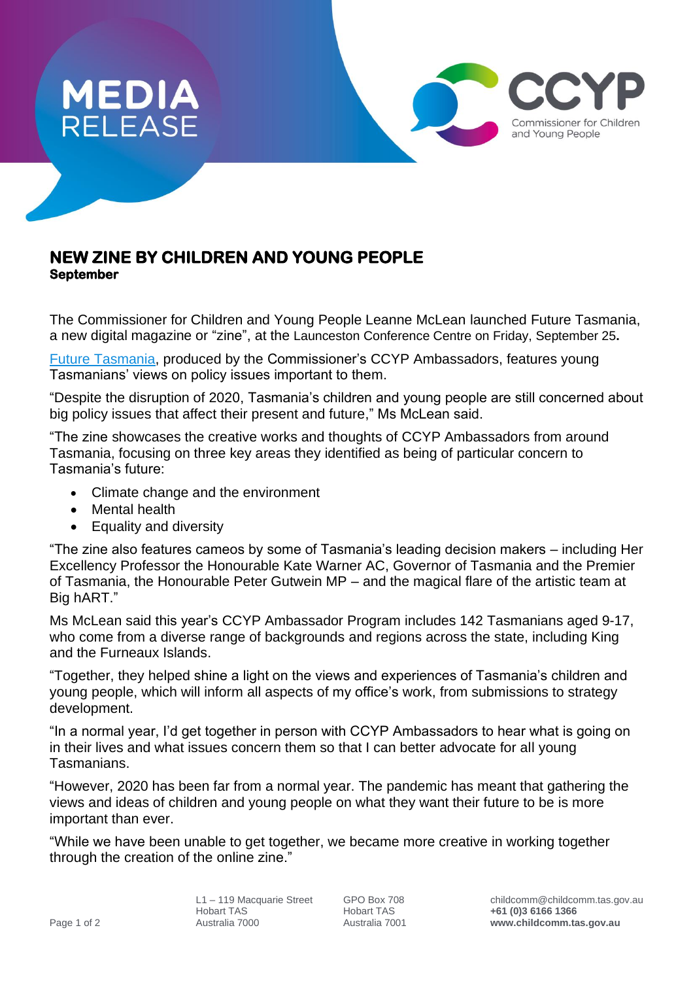

## **NEW ZINE BY CHILDREN AND YOUNG PEOPLE September**

The Commissioner for Children and Young People Leanne McLean launched Future Tasmania, a new digital magazine or "zine", at the Launceston Conference Centre on Friday, September 25**.**

[Future Tasmania,](https://zine2020.childcomm.tas.gov.au/) produced by the Commissioner's CCYP Ambassadors, features young Tasmanians' views on policy issues important to them.

"Despite the disruption of 2020, Tasmania's children and young people are still concerned about big policy issues that affect their present and future," Ms McLean said.

"The zine showcases the creative works and thoughts of CCYP Ambassadors from around Tasmania, focusing on three key areas they identified as being of particular concern to Tasmania's future:

- Climate change and the environment
- Mental health
- Equality and diversity

"The zine also features cameos by some of Tasmania's leading decision makers – including Her Excellency Professor the Honourable Kate Warner AC, Governor of Tasmania and the Premier of Tasmania, the Honourable Peter Gutwein MP – and the magical flare of the artistic team at Big hART."

Ms McLean said this year's CCYP Ambassador Program includes 142 Tasmanians aged 9-17, who come from a diverse range of backgrounds and regions across the state, including King and the Furneaux Islands.

"Together, they helped shine a light on the views and experiences of Tasmania's children and young people, which will inform all aspects of my office's work, from submissions to strategy development.

"In a normal year, I'd get together in person with CCYP Ambassadors to hear what is going on in their lives and what issues concern them so that I can better advocate for all young **Tasmanians** 

"However, 2020 has been far from a normal year. The pandemic has meant that gathering the views and ideas of children and young people on what they want their future to be is more important than ever.

"While we have been unable to get together, we became more creative in working together through the creation of the online zine."

Commissioner for Children and Young People